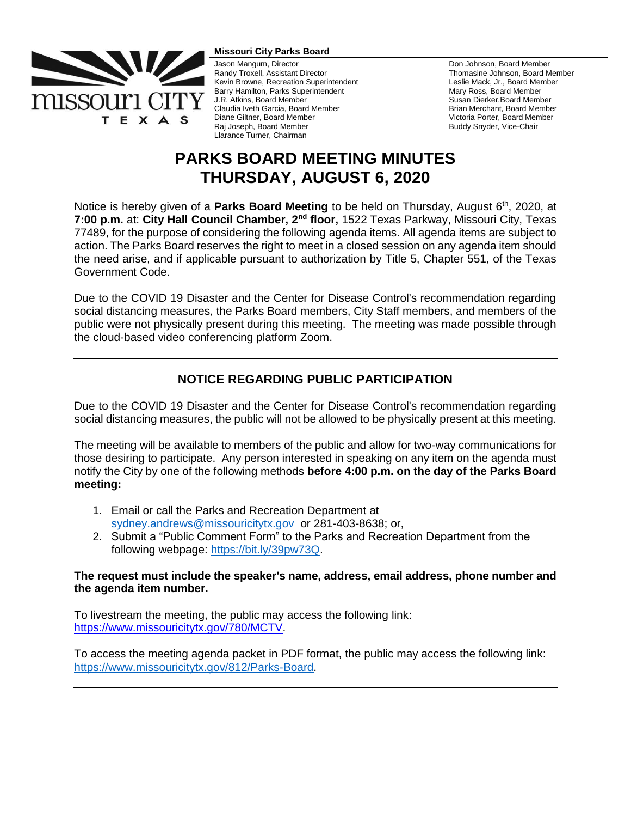

#### **Missouri City Parks Board**

Jason Mangum, Director Randy Troxell, Assistant Director Kevin Browne, Recreation Superintendent Barry Hamilton, Parks Superintendent J.R. Atkins, Board Member Claudia Iveth Garcia, Board Member Diane Giltner, Board Member Raj Joseph, Board Member Llarance Turner, Chairman

Don Johnson, Board Member Thomasine Johnson, Board Member Leslie Mack, Jr., Board Member Mary Ross, Board Member Susan Dierker,Board Member Brian Merchant, Board Member Victoria Porter, Board Member Buddy Snyder, Vice-Chair

# **PARKS BOARD MEETING MINUTES THURSDAY, AUGUST 6, 2020**

Notice is hereby given of a **Parks Board Meeting** to be held on Thursday, August 6<sup>th</sup>, 2020, at **7:00 p.m.** at: **City Hall Council Chamber, 2nd floor,** 1522 Texas Parkway, Missouri City, Texas 77489, for the purpose of considering the following agenda items. All agenda items are subject to action. The Parks Board reserves the right to meet in a closed session on any agenda item should the need arise, and if applicable pursuant to authorization by Title 5, Chapter 551, of the Texas Government Code.

Due to the COVID 19 Disaster and the Center for Disease Control's recommendation regarding social distancing measures, the Parks Board members, City Staff members, and members of the public were not physically present during this meeting. The meeting was made possible through the cloud-based video conferencing platform Zoom.

# **NOTICE REGARDING PUBLIC PARTICIPATION**

Due to the COVID 19 Disaster and the Center for Disease Control's recommendation regarding social distancing measures, the public will not be allowed to be physically present at this meeting.

The meeting will be available to members of the public and allow for two-way communications for those desiring to participate. Any person interested in speaking on any item on the agenda must notify the City by one of the following methods **before 4:00 p.m. on the day of the Parks Board meeting:** 

- 1. Email or call the Parks and Recreation Department at [sydney.andrews@missouricitytx.gov](mailto:sydney.andrews@missouricitytx.gov) or 281-403-8638; or,
- 2. Submit a "Public Comment Form" to the Parks and Recreation Department from the following webpage: [https://bit.ly/39pw73Q.](https://bit.ly/39pw73Q)

# **The request must include the speaker's name, address, email address, phone number and the agenda item number.**

To livestream the meeting, the public may access the following link: [https://www.missouricitytx.gov/780/MCTV.](https://www.missouricitytx.gov/780/MCTV)

To access the meeting agenda packet in PDF format, the public may access the following link: [https://www.missouricitytx.gov/812/Parks-Board.](https://www.missouricitytx.gov/812/Parks-Board)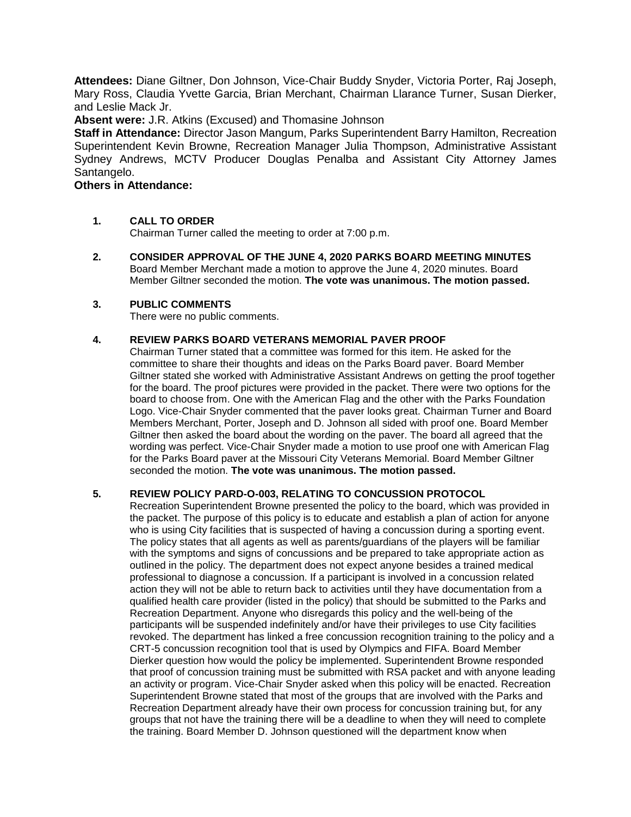**Attendees:** Diane Giltner, Don Johnson, Vice-Chair Buddy Snyder, Victoria Porter, Raj Joseph, Mary Ross, Claudia Yvette Garcia, Brian Merchant, Chairman Llarance Turner, Susan Dierker, and Leslie Mack Jr.

**Absent were:** J.R. Atkins (Excused) and Thomasine Johnson

**Staff in Attendance:** Director Jason Mangum, Parks Superintendent Barry Hamilton, Recreation Superintendent Kevin Browne, Recreation Manager Julia Thompson, Administrative Assistant Sydney Andrews, MCTV Producer Douglas Penalba and Assistant City Attorney James Santangelo.

# **Others in Attendance:**

# **1. CALL TO ORDER**

Chairman Turner called the meeting to order at 7:00 p.m.

**2. CONSIDER APPROVAL OF THE JUNE 4, 2020 PARKS BOARD MEETING MINUTES** Board Member Merchant made a motion to approve the June 4, 2020 minutes. Board Member Giltner seconded the motion. **The vote was unanimous. The motion passed.**

# **3. PUBLIC COMMENTS**

There were no public comments.

# **4. REVIEW PARKS BOARD VETERANS MEMORIAL PAVER PROOF**

Chairman Turner stated that a committee was formed for this item. He asked for the committee to share their thoughts and ideas on the Parks Board paver. Board Member Giltner stated she worked with Administrative Assistant Andrews on getting the proof together for the board. The proof pictures were provided in the packet. There were two options for the board to choose from. One with the American Flag and the other with the Parks Foundation Logo. Vice-Chair Snyder commented that the paver looks great. Chairman Turner and Board Members Merchant, Porter, Joseph and D. Johnson all sided with proof one. Board Member Giltner then asked the board about the wording on the paver. The board all agreed that the wording was perfect. Vice-Chair Snyder made a motion to use proof one with American Flag for the Parks Board paver at the Missouri City Veterans Memorial. Board Member Giltner seconded the motion. **The vote was unanimous. The motion passed.**

# **5. REVIEW POLICY PARD-O-003, RELATING TO CONCUSSION PROTOCOL**

Recreation Superintendent Browne presented the policy to the board, which was provided in the packet. The purpose of this policy is to educate and establish a plan of action for anyone who is using City facilities that is suspected of having a concussion during a sporting event. The policy states that all agents as well as parents/guardians of the players will be familiar with the symptoms and signs of concussions and be prepared to take appropriate action as outlined in the policy. The department does not expect anyone besides a trained medical professional to diagnose a concussion. If a participant is involved in a concussion related action they will not be able to return back to activities until they have documentation from a qualified health care provider (listed in the policy) that should be submitted to the Parks and Recreation Department. Anyone who disregards this policy and the well-being of the participants will be suspended indefinitely and/or have their privileges to use City facilities revoked. The department has linked a free concussion recognition training to the policy and a CRT-5 concussion recognition tool that is used by Olympics and FIFA. Board Member Dierker question how would the policy be implemented. Superintendent Browne responded that proof of concussion training must be submitted with RSA packet and with anyone leading an activity or program. Vice-Chair Snyder asked when this policy will be enacted. Recreation Superintendent Browne stated that most of the groups that are involved with the Parks and Recreation Department already have their own process for concussion training but, for any groups that not have the training there will be a deadline to when they will need to complete the training. Board Member D. Johnson questioned will the department know when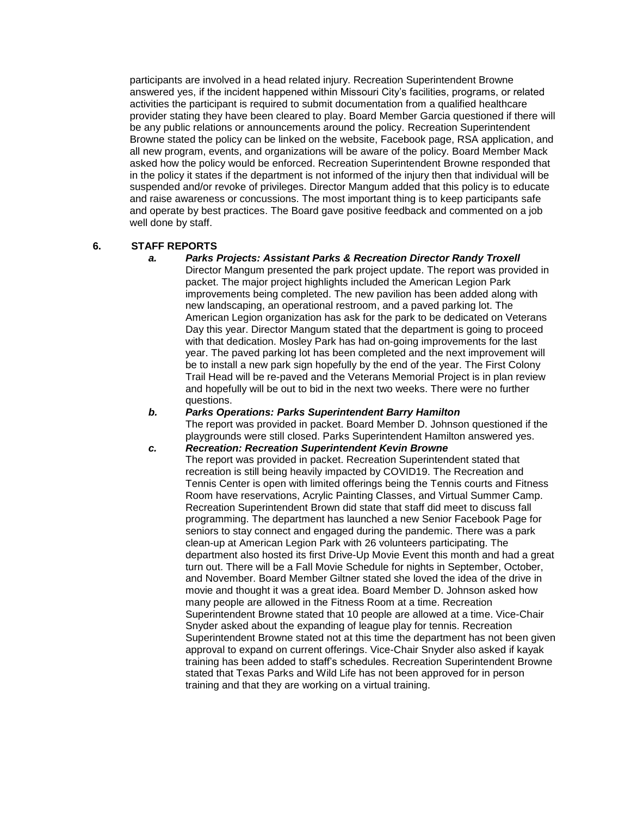participants are involved in a head related injury. Recreation Superintendent Browne answered yes, if the incident happened within Missouri City's facilities, programs, or related activities the participant is required to submit documentation from a qualified healthcare provider stating they have been cleared to play. Board Member Garcia questioned if there will be any public relations or announcements around the policy. Recreation Superintendent Browne stated the policy can be linked on the website, Facebook page, RSA application, and all new program, events, and organizations will be aware of the policy. Board Member Mack asked how the policy would be enforced. Recreation Superintendent Browne responded that in the policy it states if the department is not informed of the injury then that individual will be suspended and/or revoke of privileges. Director Mangum added that this policy is to educate and raise awareness or concussions. The most important thing is to keep participants safe and operate by best practices. The Board gave positive feedback and commented on a job well done by staff.

#### **6. STAFF REPORTS**

#### *a. Parks Projects: Assistant Parks & Recreation Director Randy Troxell*

Director Mangum presented the park project update. The report was provided in packet. The major project highlights included the American Legion Park improvements being completed. The new pavilion has been added along with new landscaping, an operational restroom, and a paved parking lot. The American Legion organization has ask for the park to be dedicated on Veterans Day this year. Director Mangum stated that the department is going to proceed with that dedication. Mosley Park has had on-going improvements for the last year. The paved parking lot has been completed and the next improvement will be to install a new park sign hopefully by the end of the year. The First Colony Trail Head will be re-paved and the Veterans Memorial Project is in plan review and hopefully will be out to bid in the next two weeks. There were no further questions.

### *b. Parks Operations: Parks Superintendent Barry Hamilton* The report was provided in packet. Board Member D. Johnson questioned if the playgrounds were still closed. Parks Superintendent Hamilton answered yes.

*c. Recreation: Recreation Superintendent Kevin Browne* The report was provided in packet. Recreation Superintendent stated that recreation is still being heavily impacted by COVID19. The Recreation and Tennis Center is open with limited offerings being the Tennis courts and Fitness Room have reservations, Acrylic Painting Classes, and Virtual Summer Camp. Recreation Superintendent Brown did state that staff did meet to discuss fall programming. The department has launched a new Senior Facebook Page for seniors to stay connect and engaged during the pandemic. There was a park clean-up at American Legion Park with 26 volunteers participating. The department also hosted its first Drive-Up Movie Event this month and had a great turn out. There will be a Fall Movie Schedule for nights in September, October, and November. Board Member Giltner stated she loved the idea of the drive in movie and thought it was a great idea. Board Member D. Johnson asked how many people are allowed in the Fitness Room at a time. Recreation Superintendent Browne stated that 10 people are allowed at a time. Vice-Chair Snyder asked about the expanding of league play for tennis. Recreation Superintendent Browne stated not at this time the department has not been given approval to expand on current offerings. Vice-Chair Snyder also asked if kayak training has been added to staff's schedules. Recreation Superintendent Browne stated that Texas Parks and Wild Life has not been approved for in person training and that they are working on a virtual training.